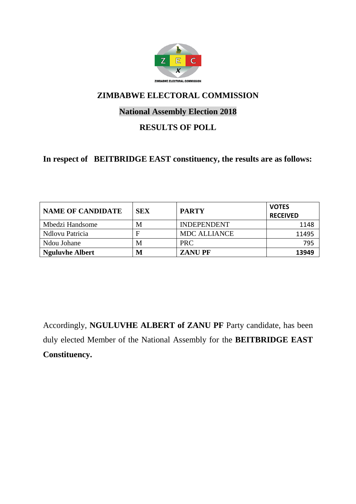

## **National Assembly Election 2018**

## **RESULTS OF POLL**

### **In respect of BEITBRIDGE EAST constituency, the results are as follows:**

| <b>NAME OF CANDIDATE</b> | <b>SEX</b> | <b>PARTY</b>        | <b>VOTES</b><br><b>RECEIVED</b> |
|--------------------------|------------|---------------------|---------------------------------|
| Mbedzi Handsome          | М          | <b>INDEPENDENT</b>  | 1148                            |
| Ndlovu Patricia          | F          | <b>MDC ALLIANCE</b> | 11495                           |
| Ndou Johane              | М          | <b>PRC</b>          | 795                             |
| <b>Nguluvhe Albert</b>   | M          | <b>ZANUPF</b>       | 13949                           |

Accordingly, **NGULUVHE ALBERT of ZANU PF** Party candidate, has been duly elected Member of the National Assembly for the **BEITBRIDGE EAST Constituency.**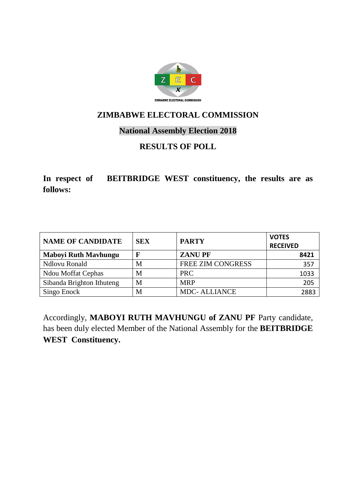

## **National Assembly Election 2018**

# **RESULTS OF POLL**

**In respect of BEITBRIDGE WEST constituency, the results are as follows:**

| <b>NAME OF CANDIDATE</b>    | <b>SEX</b> | <b>PARTY</b>             | <b>VOTES</b><br><b>RECEIVED</b> |
|-----------------------------|------------|--------------------------|---------------------------------|
| <b>Maboyi Ruth Mavhungu</b> | F          | <b>ZANUPF</b>            | 8421                            |
| Ndlovu Ronald               | M          | <b>FREE ZIM CONGRESS</b> | 357                             |
| <b>Ndou Moffat Cephas</b>   | М          | <b>PRC</b>               | 1033                            |
| Sibanda Brighton Ithuteng   | M          | <b>MRP</b>               | 205                             |
| Singo Enock                 | M          | <b>MDC-ALLIANCE</b>      | 2883                            |

Accordingly, **MABOYI RUTH MAVHUNGU of ZANU PF** Party candidate, has been duly elected Member of the National Assembly for the **BEITBRIDGE WEST Constituency.**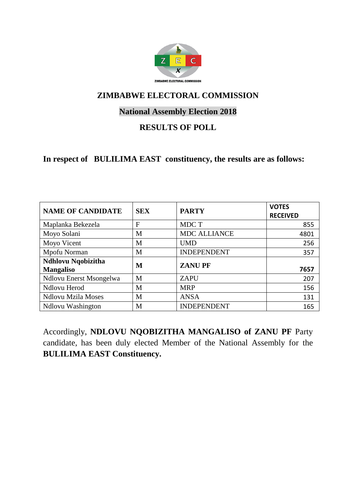

## **National Assembly Election 2018**

## **RESULTS OF POLL**

#### **In respect of BULILIMA EAST constituency, the results are as follows:**

| <b>NAME OF CANDIDATE</b>               | <b>SEX</b> | <b>PARTY</b>        | <b>VOTES</b><br><b>RECEIVED</b> |
|----------------------------------------|------------|---------------------|---------------------------------|
| Maplanka Bekezela                      | F          | MDC T               | 855                             |
| Moyo Solani                            | M          | <b>MDC ALLIANCE</b> | 4801                            |
| Moyo Vicent                            | M          | <b>UMD</b>          | 256                             |
| Mpofu Norman                           | M          | <b>INDEPENDENT</b>  | 357                             |
| Ndhlovu Nqobizitha<br><b>Mangaliso</b> | M          | <b>ZANUPF</b>       | 7657                            |
| Ndlovu Enerst Msongelwa                | M          | <b>ZAPU</b>         | 207                             |
| Ndlovu Herod                           | М          | <b>MRP</b>          | 156                             |
| <b>Ndlovu Mzila Moses</b>              | M          | <b>ANSA</b>         | 131                             |
| <b>Ndlovu Washington</b>               | M          | <b>INDEPENDENT</b>  | 165                             |

Accordingly, **NDLOVU NQOBIZITHA MANGALISO of ZANU PF** Party candidate, has been duly elected Member of the National Assembly for the **BULILIMA EAST Constituency.**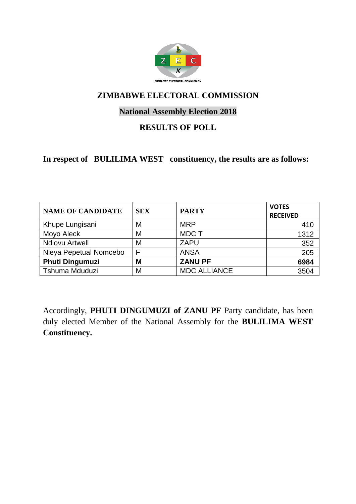

## **National Assembly Election 2018**

### **RESULTS OF POLL**

**In respect of BULILIMA WEST constituency, the results are as follows:**

| <b>NAME OF CANDIDATE</b> | <b>SEX</b> | <b>PARTY</b>        | <b>VOTES</b><br><b>RECEIVED</b> |
|--------------------------|------------|---------------------|---------------------------------|
| Khupe Lungisani          | M          | <b>MRP</b>          | 410                             |
| Moyo Aleck               | M          | <b>MDCT</b>         | 1312                            |
| <b>Ndlovu Artwell</b>    | M          | <b>ZAPU</b>         | 352                             |
| Nleya Pepetual Nomcebo   | F          | <b>ANSA</b>         | 205                             |
| <b>Phuti Dingumuzi</b>   | M          | <b>ZANU PF</b>      | 6984                            |
| Tshuma Mduduzi           | M          | <b>MDC ALLIANCE</b> | 3504                            |

Accordingly, **PHUTI DINGUMUZI of ZANU PF** Party candidate, has been duly elected Member of the National Assembly for the **BULILIMA WEST Constituency.**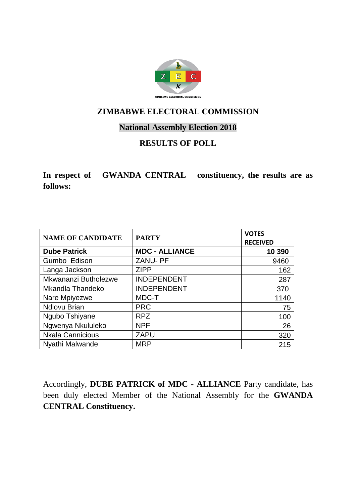

#### **National Assembly Election 2018**

## **RESULTS OF POLL**

**In respect of GWANDA CENTRAL constituency, the results are as follows:**

| <b>NAME OF CANDIDATE</b> | <b>PARTY</b>          | <b>VOTES</b><br><b>RECEIVED</b> |
|--------------------------|-----------------------|---------------------------------|
| <b>Dube Patrick</b>      | <b>MDC - ALLIANCE</b> | 10 390                          |
| Gumbo Edison             | <b>ZANU-PF</b>        | 9460                            |
| Langa Jackson            | <b>ZIPP</b>           | 162                             |
| Mkwananzi Butholezwe     | <b>INDEPENDENT</b>    | 287                             |
| Mkandla Thandeko         | <b>INDEPENDENT</b>    | 370                             |
| Nare Mpiyezwe            | MDC-T                 | 1140                            |
| <b>Ndlovu Brian</b>      | <b>PRC</b>            | 75                              |
| Ngubo Tshiyane           | <b>RPZ</b>            | 100                             |
| Ngwenya Nkululeko        | <b>NPF</b>            | 26                              |
| <b>Nkala Cannicious</b>  | <b>ZAPU</b>           | 320                             |
| Nyathi Malwande          | <b>MRP</b>            | 215                             |

Accordingly, **DUBE PATRICK of MDC - ALLIANCE** Party candidate, has been duly elected Member of the National Assembly for the **GWANDA CENTRAL Constituency.**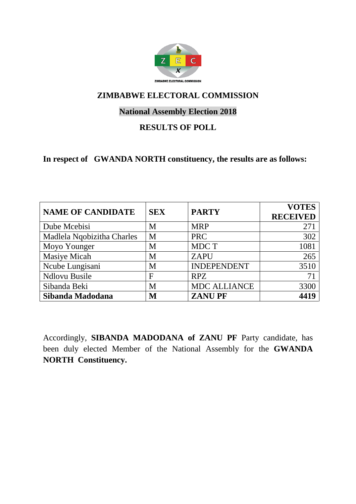

## **National Assembly Election 2018**

## **RESULTS OF POLL**

#### **In respect of GWANDA NORTH constituency, the results are as follows:**

| <b>NAME OF CANDIDATE</b>   | <b>SEX</b>   | <b>PARTY</b>        | <b>VOTES</b><br><b>RECEIVED</b> |
|----------------------------|--------------|---------------------|---------------------------------|
| Dube Mcebisi               | M            | <b>MRP</b>          | 271                             |
| Madlela Nqobizitha Charles | M            | <b>PRC</b>          | 302                             |
| Moyo Younger               | M            | MDC T               | 1081                            |
| Masiye Micah               | M            | <b>ZAPU</b>         | 265                             |
| Ncube Lungisani            | M            | <b>INDEPENDENT</b>  | 3510                            |
| <b>Ndlovu Busile</b>       | $\mathbf{F}$ | <b>RPZ</b>          | 71                              |
| Sibanda Beki               | M            | <b>MDC ALLIANCE</b> | 3300                            |
| Sibanda Madodana           | M            | <b>ZANUPF</b>       | 4419                            |

Accordingly, **SIBANDA MADODANA of ZANU PF** Party candidate, has been duly elected Member of the National Assembly for the **GWANDA NORTH Constituency.**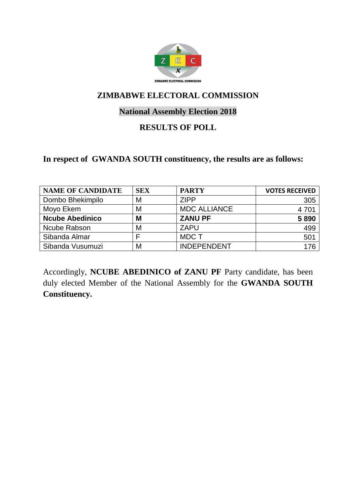

## **National Assembly Election 2018**

### **RESULTS OF POLL**

#### **In respect of GWANDA SOUTH constituency, the results are as follows:**

| <b>NAME OF CANDIDATE</b> | <b>SEX</b> | <b>PARTY</b>        | <b>VOTES RECEIVED</b> |
|--------------------------|------------|---------------------|-----------------------|
| Dombo Bhekimpilo         | M          | <b>ZIPP</b>         | 305                   |
| Moyo Ekem                | M          | <b>MDC ALLIANCE</b> | 4 7 0 1               |
| <b>Ncube Abedinico</b>   | M          | <b>ZANU PF</b>      | 5890                  |
| Ncube Rabson             | M          | <b>ZAPU</b>         | 499                   |
| Sibanda Almar            |            | MDC T               | 501                   |
| Sibanda Vusumuzi         | M          | <b>INDEPENDENT</b>  | 176                   |

Accordingly, **NCUBE ABEDINICO of ZANU PF** Party candidate, has been duly elected Member of the National Assembly for the **GWANDA SOUTH Constituency.**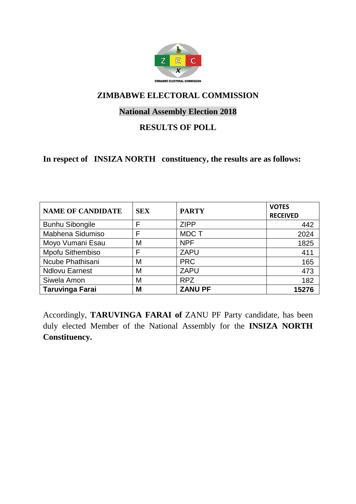

## **National Assembly Election 2018**

### **RESULTS OF POLL**

**In respect of INSIZA NORTH constituency, the results are as follows:**

| <b>NAME OF CANDIDATE</b> | <b>SEX</b> | <b>PARTY</b>   | <b>VOTES</b><br><b>RECEIVED</b> |
|--------------------------|------------|----------------|---------------------------------|
| <b>Bunhu Sibongile</b>   | F          | <b>ZIPP</b>    | 442                             |
| Mabhena Sidumiso         | F          | <b>MDCT</b>    | 2024                            |
| Moyo Vumani Esau         | M          | <b>NPF</b>     | 1825                            |
| Mpofu Sithembiso         | F          | <b>ZAPU</b>    | 411                             |
| Ncube Phathisani         | M          | <b>PRC</b>     | 165                             |
| <b>Ndlovu Earnest</b>    | M          | <b>ZAPU</b>    | 473                             |
| Siwela Amon              | M          | <b>RPZ</b>     | 182                             |
| <b>Taruvinga Farai</b>   | M          | <b>ZANU PF</b> | 15276                           |

Accordingly, **TARUVINGA FARAI of** ZANU PF Party candidate, has been duly elected Member of the National Assembly for the **INSIZA NORTH Constituency.**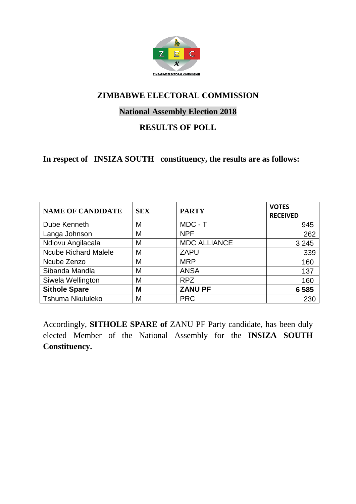

## **National Assembly Election 2018**

## **RESULTS OF POLL**

**In respect of INSIZA SOUTH constituency, the results are as follows:**

| <b>NAME OF CANDIDATE</b>    | <b>SEX</b> | <b>PARTY</b>        | <b>VOTES</b><br><b>RECEIVED</b> |
|-----------------------------|------------|---------------------|---------------------------------|
| Dube Kenneth                | M          | MDC - T             | 945                             |
| Langa Johnson               | M          | <b>NPF</b>          | 262                             |
| Ndlovu Angilacala           | M          | <b>MDC ALLIANCE</b> | 3 2 4 5                         |
| <b>Ncube Richard Malele</b> | M          | <b>ZAPU</b>         | 339                             |
| Ncube Zenzo                 | M          | <b>MRP</b>          | 160                             |
| Sibanda Mandla              | M          | <b>ANSA</b>         | 137                             |
| Siwela Wellington           | M          | <b>RPZ</b>          | 160                             |
| <b>Sithole Spare</b>        | M          | <b>ZANU PF</b>      | 6585                            |
| <b>Tshuma Nkululeko</b>     | M          | <b>PRC</b>          | 230                             |

Accordingly, **SITHOLE SPARE of** ZANU PF Party candidate, has been duly elected Member of the National Assembly for the **INSIZA SOUTH Constituency.**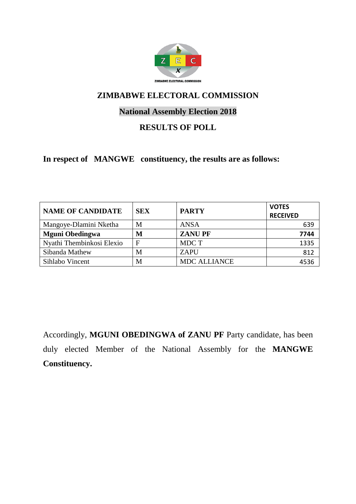

## **National Assembly Election 2018**

## **RESULTS OF POLL**

**In respect of MANGWE constituency, the results are as follows:**

| <b>NAME OF CANDIDATE</b>  | <b>SEX</b> | <b>PARTY</b>        | <b>VOTES</b><br><b>RECEIVED</b> |
|---------------------------|------------|---------------------|---------------------------------|
| Mangoye-Dlamini Nketha    | М          | <b>ANSA</b>         | 639                             |
| <b>Mguni Obedingwa</b>    | M          | <b>ZANUPF</b>       | 7744                            |
| Nyathi Thembinkosi Elexio | F          | MDC T               | 1335                            |
| Sibanda Mathew            | М          | ZAPU                | 812                             |
| Sihlabo Vincent           | M          | <b>MDC ALLIANCE</b> | 4536                            |

Accordingly, **MGUNI OBEDINGWA of ZANU PF** Party candidate, has been duly elected Member of the National Assembly for the **MANGWE Constituency.**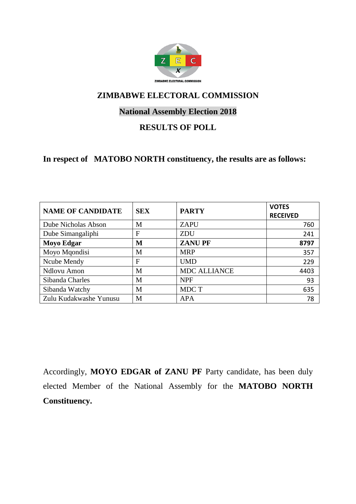

## **National Assembly Election 2018**

### **RESULTS OF POLL**

#### **In respect of MATOBO NORTH constituency, the results are as follows:**

| <b>NAME OF CANDIDATE</b> | <b>SEX</b> | <b>PARTY</b>        | <b>VOTES</b><br><b>RECEIVED</b> |
|--------------------------|------------|---------------------|---------------------------------|
| Dube Nicholas Abson      | М          | <b>ZAPU</b>         | 760                             |
| Dube Simangaliphi        | F          | <b>ZDU</b>          | 241                             |
| <b>Moyo Edgar</b>        | M          | <b>ZANUPF</b>       | 8797                            |
| Moyo Mqondisi            | М          | <b>MRP</b>          | 357                             |
| Ncube Mendy              | F          | <b>UMD</b>          | 229                             |
| Ndlovu Amon              | M          | <b>MDC ALLIANCE</b> | 4403                            |
| Sibanda Charles          | M          | <b>NPF</b>          | 93                              |
| Sibanda Watchy           | М          | MDC T               | 635                             |
| Zulu Kudakwashe Yunusu   | М          | <b>APA</b>          | 78                              |

Accordingly, **MOYO EDGAR of ZANU PF** Party candidate, has been duly elected Member of the National Assembly for the **MATOBO NORTH Constituency.**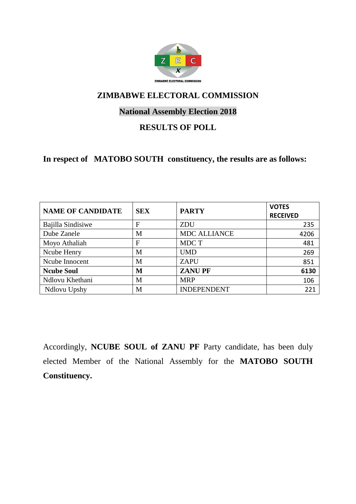

## **National Assembly Election 2018**

### **RESULTS OF POLL**

#### **In respect of MATOBO SOUTH constituency, the results are as follows:**

| <b>NAME OF CANDIDATE</b> | <b>SEX</b> | <b>PARTY</b>        | <b>VOTES</b><br><b>RECEIVED</b> |
|--------------------------|------------|---------------------|---------------------------------|
| <b>Bajilla Sindisiwe</b> | F          | ZDU                 | 235                             |
| Dube Zanele              | M          | <b>MDC ALLIANCE</b> | 4206                            |
| Moyo Athaliah            | F          | MDC T               | 481                             |
| Ncube Henry              | M          | <b>UMD</b>          | 269                             |
| Ncube Innocent           | M          | <b>ZAPU</b>         | 851                             |
| <b>Ncube Soul</b>        | M          | <b>ZANUPF</b>       | 6130                            |
| Ndlovu Khethani          | M          | <b>MRP</b>          | 106                             |
| Ndlovu Upshy             | M          | <b>INDEPENDENT</b>  | 221                             |

Accordingly, **NCUBE SOUL of ZANU PF** Party candidate, has been duly elected Member of the National Assembly for the **MATOBO SOUTH Constituency.**